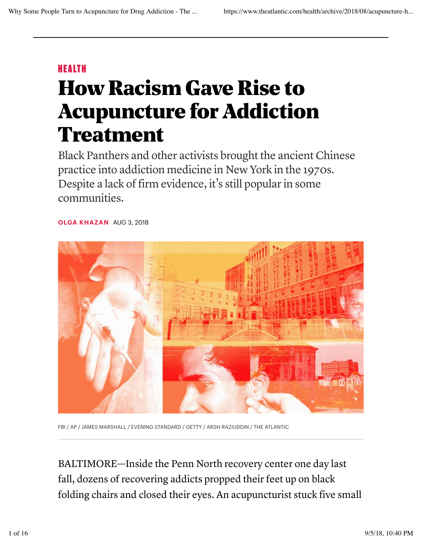## HEALTH

## How Racism Gave Rise to Acupuncture for Addiction **Treatment**

Black Panthers and other activists brought the ancient Chinese practice into addiction medicine in New York in the 1970s. Despite a lack of firm evidence, it's still popular in some communities.

**OLGA KHAZAN** AUG 3, 2018



FBI / AP / JAMES MARSHALL / EVENING STANDARD / GETTY / ARSH RAZIUDDIN / THE ATLANTIC

BALTIMORE—Inside the Penn North recovery center one day last fall, dozens of recovering addicts propped their feet up on black folding chairs and closed their eyes. An acupuncturist stuck five small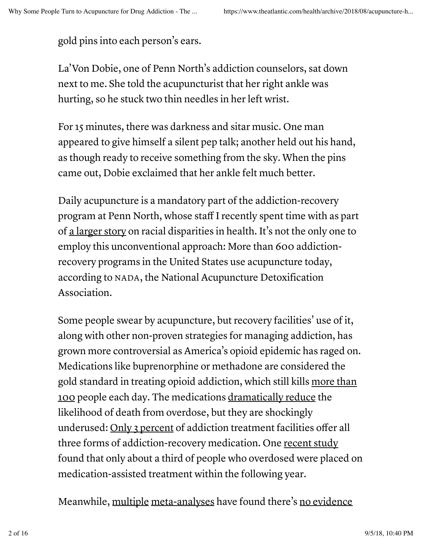gold pins into each person's ears.

La'Von Dobie, one of Penn North's addiction counselors, sat down next to me. She told the acupuncturist that her right ankle was hurting, so he stuck two thin needles in her left wrist.

For 15 minutes, there was darkness and sitar music. One man appeared to give himself a silent pep talk; another held out his hand, as though ready to receive something from the sky. When the pins came out, Dobie exclaimed that her ankle felt much better.

Daily acupuncture is a mandatory part of the addiction-recovery program at Penn North, whose staff I recently spent time with as part of a larger story on racial disparities in health. It's not the only one to employ this unconventional approach: More than 600 addictionrecovery programs in the United States use acupuncture today, according to NADA, the National Acupuncture Detoxification Association.

Some people swear by acupuncture, but recovery facilities' use of it, along with other non-proven strategies for managing addiction, has grown more controversial as America's opioid epidemic has raged on. Medications like buprenorphine or methadone are considered the gold standard in treating opioid addiction, which still kills more than 100 people each day. The medications dramatically reduce the likelihood of death from overdose, but they are shockingly underused: Only 3 percent of addiction treatment facilities offer all three forms of addiction-recovery medication. One recent study found that only about a third of people who overdosed were placed on medication-assisted treatment within the following year.

Meanwhile, multiple meta-analyses have found there's no evidence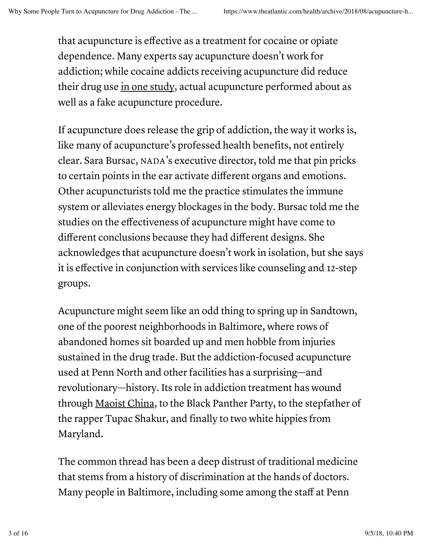that acupuncture is effective as a treatment for cocaine or opiate dependence. Many experts say acupuncture doesn't work for addiction; while cocaine addicts receiving acupuncture did reduce their drug use in one study, actual acupuncture performed about as well as a fake acupuncture procedure.

If acupuncture does release the grip of addiction, the way it works is, like many of acupuncture's professed health benefits, not entirely clear. Sara Bursac, NADA's executive director, told me that pin pricks to certain points in the ear activate different organs and emotions. Other acupuncturists told me the practice stimulates the immune system or alleviates energy blockages in the body. Bursac told me the studies on the effectiveness of acupuncture might have come to different conclusions because they had different designs. She acknowledges that acupuncture doesn't work in isolation, but she says it is effective in conjunction with services like counseling and 12-step groups.

Acupuncture might seem like an odd thing to spring up in Sandtown, one of the poorest neighborhoods in Baltimore, where rows of abandoned homes sit boarded up and men hobble from injuries sustained in the drug trade. But the addiction-focused acupuncture used at Penn North and other facilities has a surprising—and revolutionary—history. Its role in addiction treatment has wound through Maoist China, to the Black Panther Party, to the stepfather of the rapper Tupac Shakur, and finally to two white hippies from Maryland.

The common thread has been a deep distrust of traditional medicine that stems from a history of discrimination at the hands of doctors. Many people in Baltimore, including some among the staff at Penn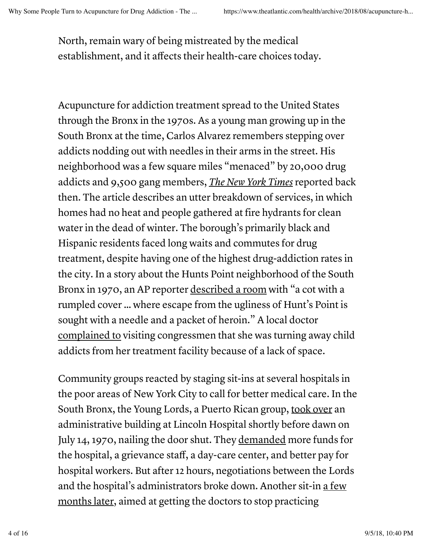North, remain wary of being mistreated by the medical establishment, and it affects their health-care choices today.

Acupuncture for addiction treatment spread to the United States through the Bronx in the 1970s. As a young man growing up in the South Bronx at the time, Carlos Alvarez remembers stepping over addicts nodding out with needles in their arms in the street. His neighborhood was a few square miles "menaced" by 20,000 drug addicts and 9,500 gang members, *The New York Times* reported back then. The article describes an utter breakdown of services, in which homes had no heat and people gathered at fire hydrants for clean water in the dead of winter. The borough's primarily black and Hispanic residents faced long waits and commutes for drug treatment, despite having one of the highest drug-addiction rates in the city. In a story about the Hunts Point neighborhood of the South Bronx in 1970, an AP reporter described a room with "a cot with a rumpled cover … where escape from the ugliness of Hunt's Point is sought with a needle and a packet of heroin." A local doctor complained to visiting congressmen that she was turning away child addicts from her treatment facility because of a lack of space.

Community groups reacted by staging sit-ins at several hospitals in the poor areas of New York City to call for better medical care. In the South Bronx, the Young Lords, a Puerto Rican group, took over an administrative building at Lincoln Hospital shortly before dawn on July 14, 1970, nailing the door shut. They demanded more funds for the hospital, a grievance staff, a day-care center, and better pay for hospital workers. But after 12 hours, negotiations between the Lords and the hospital's administrators broke down. Another sit-in a few months later, aimed at getting the doctors to stop practicing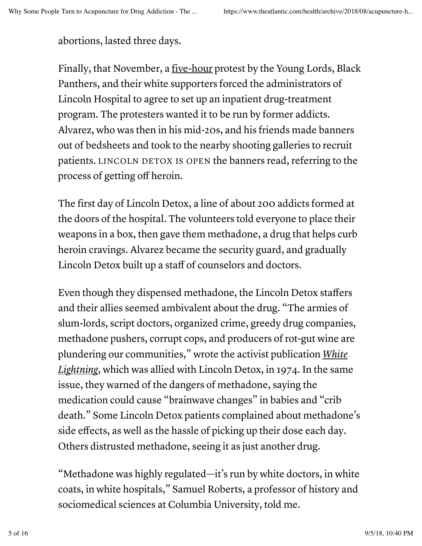abortions, lasted three days.

Finally, that November, a five-hour protest by the Young Lords, Black Panthers, and their white supporters forced the administrators of Lincoln Hospital to agree to set up an inpatient drug-treatment program. The protesters wanted it to be run by former addicts. Alvarez, who was then in his mid-20s, and his friends made banners out of bedsheets and took to the nearby shooting galleries to recruit patients. LINCOLN DETOX IS OPEN the banners read, referring to the process of getting off heroin.

The first day of Lincoln Detox, a line of about 200 addicts formed at the doors of the hospital. The volunteers told everyone to place their weapons in a box, then gave them methadone, a drug that helps curb heroin cravings. Alvarez became the security guard, and gradually Lincoln Detox built up a staff of counselors and doctors.

Even though they dispensed methadone, the Lincoln Detox staffers and their allies seemed ambivalent about the drug. "The armies of slum-lords, script doctors, organized crime, greedy drug companies, methadone pushers, corrupt cops, and producers of rot-gut wine are plundering our communities," wrote the activist publication *White Lightning*, which was allied with Lincoln Detox, in 1974. In the same issue, they warned of the dangers of methadone, saying the medication could cause "brainwave changes" in babies and "crib death." Some Lincoln Detox patients complained about methadone's side effects, as well as the hassle of picking up their dose each day. Others distrusted methadone, seeing it as just another drug.

"Methadone was highly regulated—it's run by white doctors, in white coats, in white hospitals," Samuel Roberts, a professor of history and sociomedical sciences at Columbia University, told me.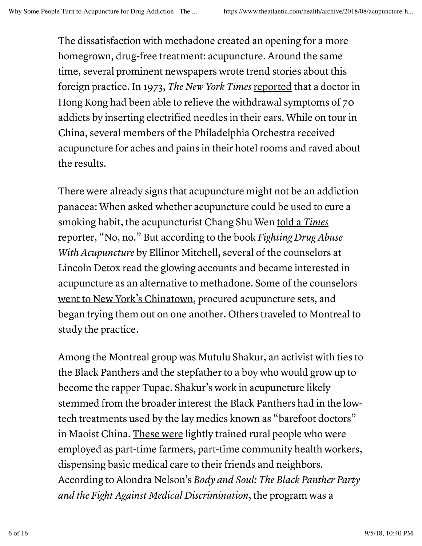The dissatisfaction with methadone created an opening for a more homegrown, drug-free treatment: acupuncture. Around the same time, several prominent newspapers wrote trend stories about this foreign practice. In 1973, *The New York Times* reported that a doctor in Hong Kong had been able to relieve the withdrawal symptoms of 70 addicts by inserting electrified needles in their ears. While on tour in China, several members of the Philadelphia Orchestra received acupuncture for aches and pains in their hotel rooms and raved about the results.

There were already signs that acupuncture might not be an addiction panacea: When asked whether acupuncture could be used to cure a smoking habit, the acupuncturist Chang Shu Wen told a *Times* reporter, "No, no." But according to the book *Fighting Drug Abuse With Acupuncture* by Ellinor Mitchell, several of the counselors at Lincoln Detox read the glowing accounts and became interested in acupuncture as an alternative to methadone. Some of the counselors went to New York's Chinatown, procured acupuncture sets, and began trying them out on one another. Others traveled to Montreal to study the practice.

Among the Montreal group was Mutulu Shakur, an activist with ties to the Black Panthers and the stepfather to a boy who would grow up to become the rapper Tupac. Shakur's work in acupuncture likely stemmed from the broader interest the Black Panthers had in the lowtech treatments used by the lay medics known as "barefoot doctors" in Maoist China. These were lightly trained rural people who were employed as part-time farmers, part-time community health workers, dispensing basic medical care to their friends and neighbors. According to Alondra Nelson's *Body and Soul: The Black Panther Party and the Fight Against Medical Discrimination*, the program was a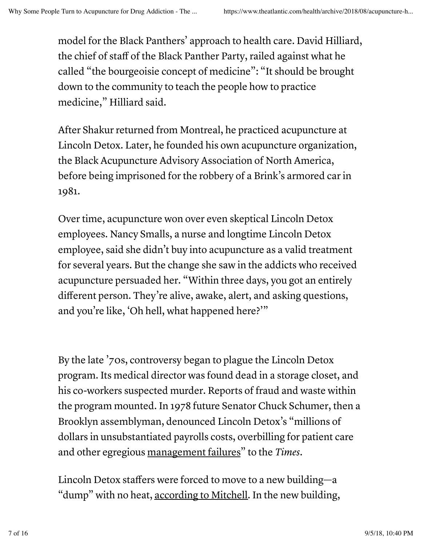model for the Black Panthers' approach to health care. David Hilliard, the chief of staff of the Black Panther Party, railed against what he called "the bourgeoisie concept of medicine": "It should be brought down to the community to teach the people how to practice medicine," Hilliard said.

After Shakur returned from Montreal, he practiced acupuncture at Lincoln Detox. Later, he founded his own acupuncture organization, the Black Acupuncture Advisory Association of North America, before being imprisoned for the robbery of a Brink's armored car in 1981.

Over time, acupuncture won over even skeptical Lincoln Detox employees. Nancy Smalls, a nurse and longtime Lincoln Detox employee, said she didn't buy into acupuncture as a valid treatment for several years. But the change she saw in the addicts who received acupuncture persuaded her. "Within three days, you got an entirely different person. They're alive, awake, alert, and asking questions, and you're like, 'Oh hell, what happened here?'"

By the late '70s, controversy began to plague the Lincoln Detox program. Its medical director was found dead in a storage closet, and his co-workers suspected murder. Reports of fraud and waste within the program mounted. In 1978 future Senator Chuck Schumer, then a Brooklyn assemblyman, denounced Lincoln Detox's "millions of dollars in unsubstantiated payrolls costs, overbilling for patient care and other egregious management failures" to the *Times*.

Lincoln Detox staffers were forced to move to a new building—a "dump" with no heat, according to Mitchell. In the new building,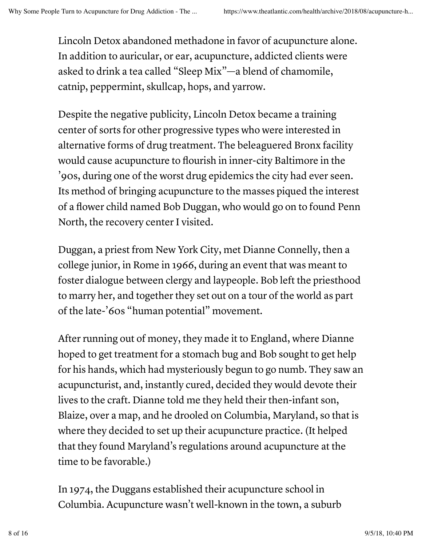Lincoln Detox abandoned methadone in favor of acupuncture alone. In addition to auricular, or ear, acupuncture, addicted clients were asked to drink a tea called "Sleep Mix"—a blend of chamomile, catnip, peppermint, skullcap, hops, and yarrow.

Despite the negative publicity, Lincoln Detox became a training center of sorts for other progressive types who were interested in alternative forms of drug treatment. The beleaguered Bronx facility would cause acupuncture to flourish in inner-city Baltimore in the '90s, during one of the worst drug epidemics the city had ever seen. Its method of bringing acupuncture to the masses piqued the interest of a flower child named Bob Duggan, who would go on to found Penn North, the recovery center I visited.

Duggan, a priest from New York City, met Dianne Connelly, then a college junior, in Rome in 1966, during an event that was meant to foster dialogue between clergy and laypeople. Bob left the priesthood to marry her, and together they set out on a tour of the world as part of the late-'60s "human potential" movement.

After running out of money, they made it to England, where Dianne hoped to get treatment for a stomach bug and Bob sought to get help for his hands, which had mysteriously begun to go numb. They saw an acupuncturist, and, instantly cured, decided they would devote their lives to the craft. Dianne told me they held their then-infant son, Blaize, over a map, and he drooled on Columbia, Maryland, so that is where they decided to set up their acupuncture practice. (It helped that they found Maryland's regulations around acupuncture at the time to be favorable.)

In 1974, the Duggans established their acupuncture school in Columbia. Acupuncture wasn't well-known in the town, a suburb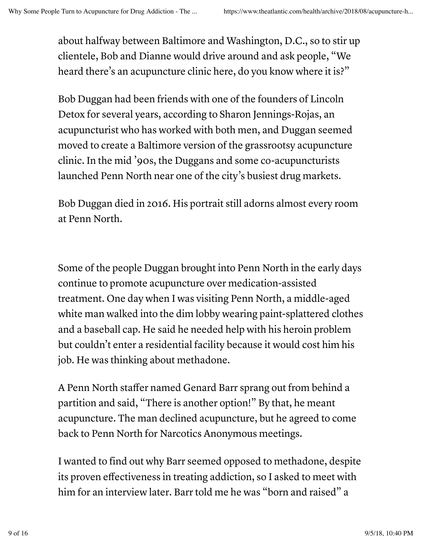about halfway between Baltimore and Washington, D.C., so to stir up clientele, Bob and Dianne would drive around and ask people, "We heard there's an acupuncture clinic here, do you know where it is?"

Bob Duggan had been friends with one of the founders of Lincoln Detox for several years, according to Sharon Jennings-Rojas, an acupuncturist who has worked with both men, and Duggan seemed moved to create a Baltimore version of the grassrootsy acupuncture clinic. In the mid '90s, the Duggans and some co-acupuncturists launched Penn North near one of the city's busiest drug markets.

Bob Duggan died in 2016. His portrait still adorns almost every room at Penn North.

Some of the people Duggan brought into Penn North in the early days continue to promote acupuncture over medication-assisted treatment. One day when I was visiting Penn North, a middle-aged white man walked into the dim lobby wearing paint-splattered clothes and a baseball cap. He said he needed help with his heroin problem but couldn't enter a residential facility because it would cost him his job. He was thinking about methadone.

A Penn North staffer named Genard Barr sprang out from behind a partition and said, "There is another option!" By that, he meant acupuncture. The man declined acupuncture, but he agreed to come back to Penn North for Narcotics Anonymous meetings.

I wanted to find out why Barr seemed opposed to methadone, despite its proven effectiveness in treating addiction, so I asked to meet with him for an interview later. Barr told me he was "born and raised" a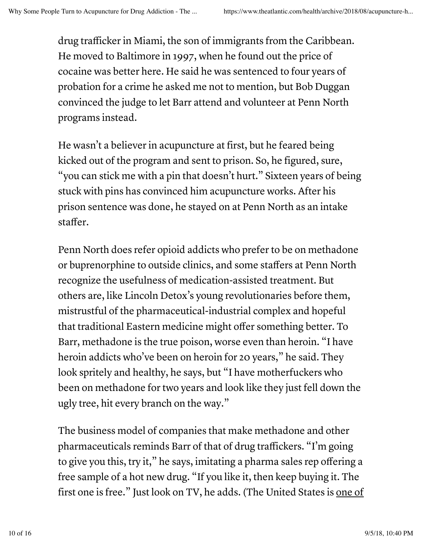drug trafficker in Miami, the son of immigrants from the Caribbean. He moved to Baltimore in 1997, when he found out the price of cocaine was better here. He said he was sentenced to four years of probation for a crime he asked me not to mention, but Bob Duggan convinced the judge to let Barr attend and volunteer at Penn North programs instead.

He wasn't a believer in acupuncture at first, but he feared being kicked out of the program and sent to prison. So, he figured, sure, "you can stick me with a pin that doesn't hurt." Sixteen years of being stuck with pins has convinced him acupuncture works. After his prison sentence was done, he stayed on at Penn North as an intake staffer.

Penn North does refer opioid addicts who prefer to be on methadone or buprenorphine to outside clinics, and some staffers at Penn North recognize the usefulness of medication-assisted treatment. But others are, like Lincoln Detox's young revolutionaries before them, mistrustful of the pharmaceutical-industrial complex and hopeful that traditional Eastern medicine might offer something better. To Barr, methadone is the true poison, worse even than heroin. "I have heroin addicts who've been on heroin for 20 years," he said. They look spritely and healthy, he says, but "I have motherfuckers who been on methadone for two years and look like they just fell down the ugly tree, hit every branch on the way."

The business model of companies that make methadone and other pharmaceuticals reminds Barr of that of drug traffickers. "I'm going to give you this, try it," he says, imitating a pharma sales rep offering a free sample of a hot new drug. "If you like it, then keep buying it. The first one is free." Just look on TV, he adds. (The United States is one of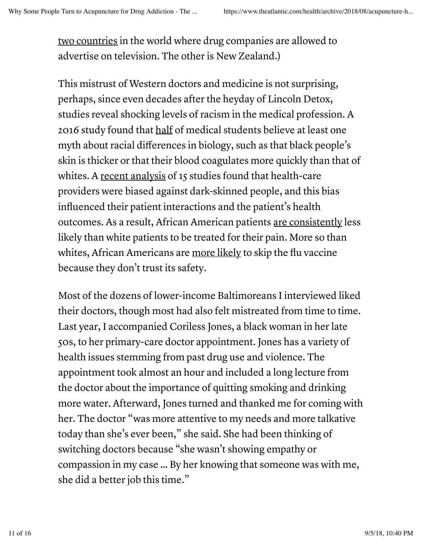two countries in the world where drug companies are allowed to advertise on television. The other is New Zealand.)

This mistrust of Western doctors and medicine is not surprising, perhaps, since even decades after the heyday of Lincoln Detox, studies reveal shocking levels of racism in the medical profession. A 2016 study found that half of medical students believe at least one myth about racial differences in biology, such as that black people's skin is thicker or that their blood coagulates more quickly than that of whites. A recent analysis of 15 studies found that health-care providers were biased against dark-skinned people, and this bias influenced their patient interactions and the patient's health outcomes. As a result, African American patients are consistently less likely than white patients to be treated for their pain. More so than whites, African Americans are more likely to skip the flu vaccine because they don't trust its safety.

Most of the dozens of lower-income Baltimoreans I interviewed liked their doctors, though most had also felt mistreated from time to time. Last year, I accompanied Coriless Jones, a black woman in her late 50s, to her primary-care doctor appointment. Jones has a variety of health issues stemming from past drug use and violence. The appointment took almost an hour and included a long lecture from the doctor about the importance of quitting smoking and drinking more water. Afterward, Jones turned and thanked me for coming with her. The doctor "was more attentive to my needs and more talkative today than she's ever been," she said. She had been thinking of switching doctors because "she wasn't showing empathy or compassion in my case … By her knowing that someone was with me, she did a better job this time."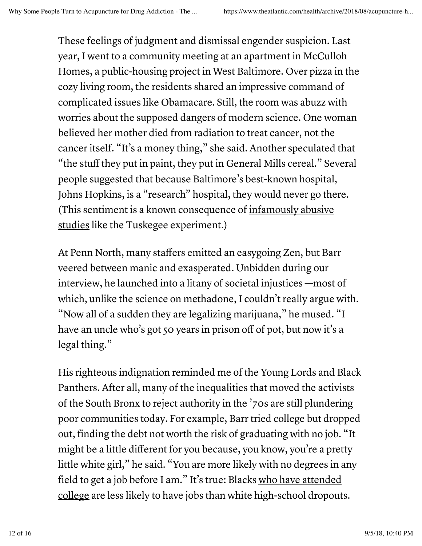These feelings of judgment and dismissal engender suspicion. Last year, I went to a community meeting at an apartment in McCulloh Homes, a public-housing project in West Baltimore. Over pizza in the cozy living room, the residents shared an impressive command of complicated issues like Obamacare. Still, the room was abuzz with worries about the supposed dangers of modern science. One woman believed her mother died from radiation to treat cancer, not the cancer itself. "It's a money thing," she said. Another speculated that "the stuff they put in paint, they put in General Mills cereal." Several people suggested that because Baltimore's best-known hospital, Johns Hopkins, is a "research" hospital, they would never go there. (This sentiment is a known consequence of infamously abusive studies like the Tuskegee experiment.)

At Penn North, many staffers emitted an easygoing Zen, but Barr veered between manic and exasperated. Unbidden during our interview, he launched into a litany of societal injustices —most of which, unlike the science on methadone, I couldn't really argue with. "Now all of a sudden they are legalizing marijuana," he mused. "I have an uncle who's got 50 years in prison off of pot, but now it's a legal thing."

His righteous indignation reminded me of the Young Lords and Black Panthers. After all, many of the inequalities that moved the activists of the South Bronx to reject authority in the '70s are still plundering poor communities today. For example, Barr tried college but dropped out, finding the debt not worth the risk of graduating with no job. "It might be a little different for you because, you know, you're a pretty little white girl," he said. "You are more likely with no degrees in any field to get a job before I am." It's true: Blacks who have attended college are less likely to have jobs than white high-school dropouts.